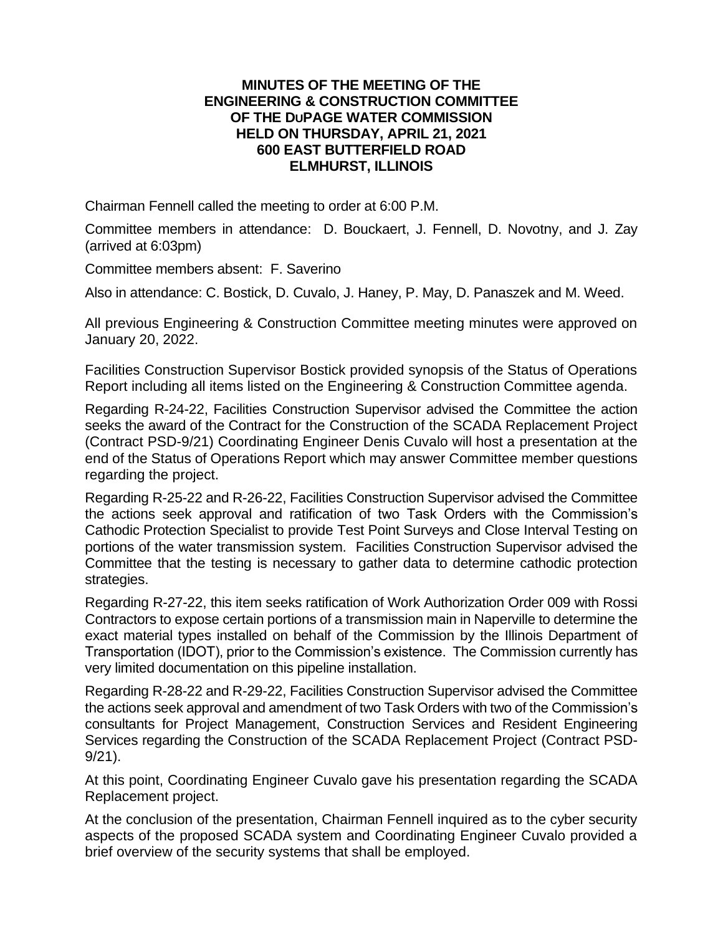## **MINUTES OF THE MEETING OF THE ENGINEERING & CONSTRUCTION COMMITTEE OF THE DUPAGE WATER COMMISSION HELD ON THURSDAY, APRIL 21, 2021 600 EAST BUTTERFIELD ROAD ELMHURST, ILLINOIS**

Chairman Fennell called the meeting to order at 6:00 P.M.

Committee members in attendance: D. Bouckaert, J. Fennell, D. Novotny, and J. Zay (arrived at 6:03pm)

Committee members absent: F. Saverino

Also in attendance: C. Bostick, D. Cuvalo, J. Haney, P. May, D. Panaszek and M. Weed.

All previous Engineering & Construction Committee meeting minutes were approved on January 20, 2022.

Facilities Construction Supervisor Bostick provided synopsis of the Status of Operations Report including all items listed on the Engineering & Construction Committee agenda.

Regarding R-24-22, Facilities Construction Supervisor advised the Committee the action seeks the award of the Contract for the Construction of the SCADA Replacement Project (Contract PSD-9/21) Coordinating Engineer Denis Cuvalo will host a presentation at the end of the Status of Operations Report which may answer Committee member questions regarding the project.

Regarding R-25-22 and R-26-22, Facilities Construction Supervisor advised the Committee the actions seek approval and ratification of two Task Orders with the Commission's Cathodic Protection Specialist to provide Test Point Surveys and Close Interval Testing on portions of the water transmission system. Facilities Construction Supervisor advised the Committee that the testing is necessary to gather data to determine cathodic protection strategies.

Regarding R-27-22, this item seeks ratification of Work Authorization Order 009 with Rossi Contractors to expose certain portions of a transmission main in Naperville to determine the exact material types installed on behalf of the Commission by the Illinois Department of Transportation (IDOT), prior to the Commission's existence. The Commission currently has very limited documentation on this pipeline installation.

Regarding R-28-22 and R-29-22, Facilities Construction Supervisor advised the Committee the actions seek approval and amendment of two Task Orders with two of the Commission's consultants for Project Management, Construction Services and Resident Engineering Services regarding the Construction of the SCADA Replacement Project (Contract PSD-9/21).

At this point, Coordinating Engineer Cuvalo gave his presentation regarding the SCADA Replacement project.

At the conclusion of the presentation, Chairman Fennell inquired as to the cyber security aspects of the proposed SCADA system and Coordinating Engineer Cuvalo provided a brief overview of the security systems that shall be employed.